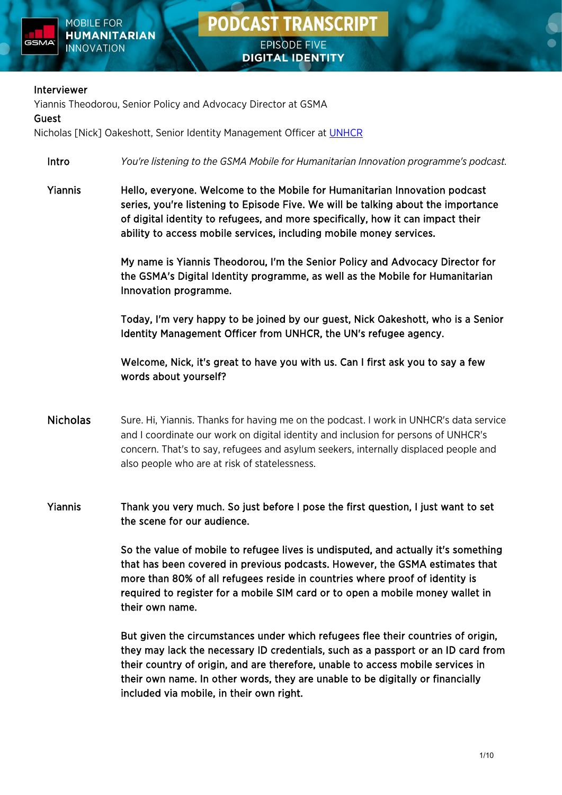



### Interviewer

Yiannis Theodorou, Senior Policy and Advocacy Director at GSMA

### Guest

Nicholas [Nick] Oakeshott, Senior Identity Management Officer at **UNHCR** 

- Intro *You're listening to the GSMA Mobile for Humanitarian Innovation programme's podcast.*
- Yiannis Hello, everyone. Welcome to the Mobile for Humanitarian Innovation podcast series, you're listening to Episode Five. We will be talking about the importance of digital identity to refugees, and more specifically, how it can impact their ability to access mobile services, including mobile money services.

My name is Yiannis Theodorou, I'm the Senior Policy and Advocacy Director for the GSMA's Digital Identity programme, as well as the Mobile for Humanitarian Innovation programme.

Today, I'm very happy to be joined by our guest, Nick Oakeshott, who is a Senior Identity Management Officer from UNHCR, the UN's refugee agency.

Welcome, Nick, it's great to have you with us. Can I first ask you to say a few words about yourself?

- Nicholas Sure. Hi, Yiannis. Thanks for having me on the podcast. I work in UNHCR's data service and I coordinate our work on digital identity and inclusion for persons of UNHCR's concern. That's to say, refugees and asylum seekers, internally displaced people and also people who are at risk of statelessness.
- Yiannis Thank you very much. So just before I pose the first question, I just want to set the scene for our audience.

So the value of mobile to refugee lives is undisputed, and actually it's something that has been covered in previous podcasts. However, the GSMA estimates that more than 80% of all refugees reside in countries where proof of identity is required to register for a mobile SIM card or to open a mobile money wallet in their own name.

 But given the circumstances under which refugees flee their countries of origin, they may lack the necessary ID credentials, such as a passport or an ID card from their country of origin, and are therefore, unable to access mobile services in their own name. In other words, they are unable to be digitally or financially included via mobile, in their own right.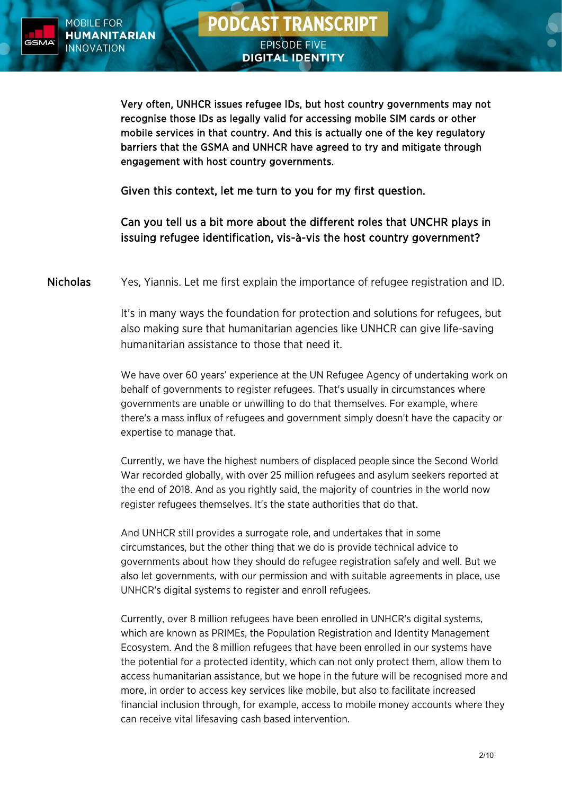

**DIGITAL IDENTITY** 

Very often, UNHCR issues refugee IDs, but host country governments may not recognise those IDs as legally valid for accessing mobile SIM cards or other mobile services in that country. And this is actually one of the key regulatory barriers that the GSMA and UNHCR have agreed to try and mitigate through engagement with host country governments.

Given this context, let me turn to you for my first question.

Can you tell us a bit more about the different roles that UNCHR plays in issuing refugee identification, vis-à-vis the host country government?

Nicholas Yes, Yiannis. Let me first explain the importance of refugee registration and ID.

It's in many ways the foundation for protection and solutions for refugees, but also making sure that humanitarian agencies like UNHCR can give life-saving humanitarian assistance to those that need it.

We have over 60 years' experience at the UN Refugee Agency of undertaking work on behalf of governments to register refugees. That's usually in circumstances where governments are unable or unwilling to do that themselves. For example, where there's a mass influx of refugees and government simply doesn't have the capacity or expertise to manage that.

Currently, we have the highest numbers of displaced people since the Second World War recorded globally, with over 25 million refugees and asylum seekers reported at the end of 2018. And as you rightly said, the majority of countries in the world now register refugees themselves. It's the state authorities that do that.

And UNHCR still provides a surrogate role, and undertakes that in some circumstances, but the other thing that we do is provide technical advice to governments about how they should do refugee registration safely and well. But we also let governments, with our permission and with suitable agreements in place, use UNHCR's digital systems to register and enroll refugees.

Currently, over 8 million refugees have been enrolled in UNHCR's digital systems, which are known as PRIMEs, the Population Registration and Identity Management Ecosystem. And the 8 million refugees that have been enrolled in our systems have the potential for a protected identity, which can not only protect them, allow them to access humanitarian assistance, but we hope in the future will be recognised more and more, in order to access key services like mobile, but also to facilitate increased financial inclusion through, for example, access to mobile money accounts where they can receive vital lifesaving cash based intervention.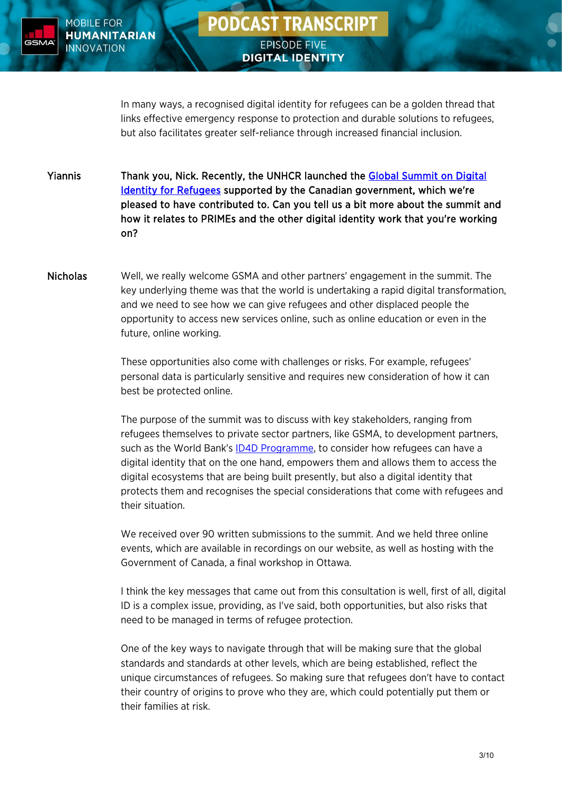

## **PODCAST TRANSCRIPT EPISODE FIVE**

**DIGITAL IDENTITY** 

In many ways, a recognised digital identity for refugees can be a golden thread that links effective emergency response to protection and durable solutions to refugees, but also facilitates greater self-reliance through increased financial inclusion.

Yiannis Thank you, Nick. Recently, the UNHCR launched the [Global Summit on Digital](https://www.unhcr.org/blogs/virtual-summit-digital-identity-refugees/)  [Identity for Refugees](https://www.unhcr.org/blogs/virtual-summit-digital-identity-refugees/) supported by the Canadian government, which we're pleased to have contributed to. Can you tell us a bit more about the summit and how it relates to PRIMEs and the other digital identity work that you're working on?

Nicholas Well, we really welcome GSMA and other partners' engagement in the summit. The key underlying theme was that the world is undertaking a rapid digital transformation, and we need to see how we can give refugees and other displaced people the opportunity to access new services online, such as online education or even in the future, online working.

> These opportunities also come with challenges or risks. For example, refugees' personal data is particularly sensitive and requires new consideration of how it can best be protected online.

The purpose of the summit was to discuss with key stakeholders, ranging from refugees themselves to private sector partners, like GSMA, to development partners, such as the World Bank's **ID4D Programme**, to consider how refugees can have a digital identity that on the one hand, empowers them and allows them to access the digital ecosystems that are being built presently, but also a digital identity that protects them and recognises the special considerations that come with refugees and their situation.

We received over 90 written submissions to the summit. And we held three online events, which are available in recordings on our website, as well as hosting with the Government of Canada, a final workshop in Ottawa.

I think the key messages that came out from this consultation is well, first of all, digital ID is a complex issue, providing, as I've said, both opportunities, but also risks that need to be managed in terms of refugee protection.

One of the key ways to navigate through that will be making sure that the global standards and standards at other levels, which are being established, reflect the unique circumstances of refugees. So making sure that refugees don't have to contact their country of origins to prove who they are, which could potentially put them or their families at risk.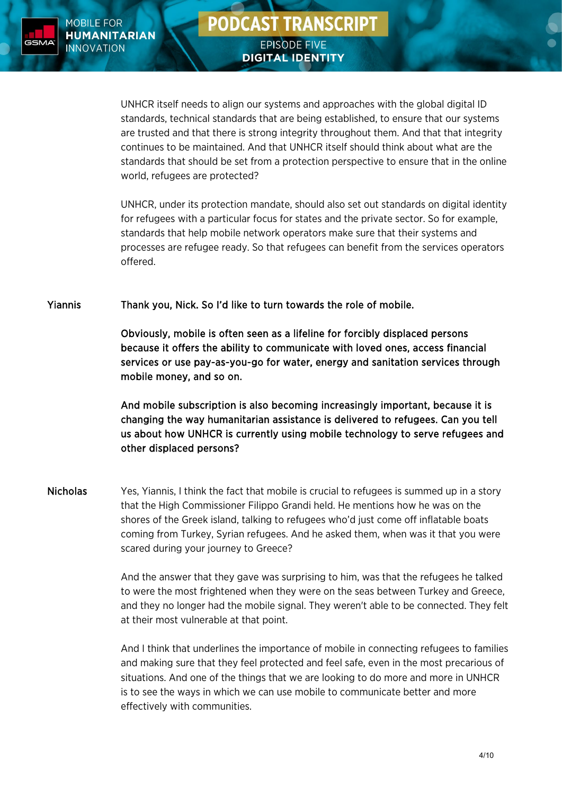

## **PODCAST TRANSCRIPT EPISODE FIVE**

**DIGITAL IDENTITY** 

UNHCR itself needs to align our systems and approaches with the global digital ID standards, technical standards that are being established, to ensure that our systems are trusted and that there is strong integrity throughout them. And that that integrity continues to be maintained. And that UNHCR itself should think about what are the standards that should be set from a protection perspective to ensure that in the online world, refugees are protected?

UNHCR, under its protection mandate, should also set out standards on digital identity for refugees with a particular focus for states and the private sector. So for example, standards that help mobile network operators make sure that their systems and processes are refugee ready. So that refugees can benefit from the services operators offered.

Yiannis Thank you, Nick. So I'd like to turn towards the role of mobile.

Obviously, mobile is often seen as a lifeline for forcibly displaced persons because it offers the ability to communicate with loved ones, access financial services or use pay-as-you-go for water, energy and sanitation services through mobile money, and so on.

And mobile subscription is also becoming increasingly important, because it is changing the way humanitarian assistance is delivered to refugees. Can you tell us about how UNHCR is currently using mobile technology to serve refugees and other displaced persons?

Nicholas Yes, Yiannis, I think the fact that mobile is crucial to refugees is summed up in a story that the High Commissioner Filippo Grandi held. He mentions how he was on the shores of the Greek island, talking to refugees who'd just come off inflatable boats coming from Turkey, Syrian refugees. And he asked them, when was it that you were scared during your journey to Greece?

> And the answer that they gave was surprising to him, was that the refugees he talked to were the most frightened when they were on the seas between Turkey and Greece, and they no longer had the mobile signal. They weren't able to be connected. They felt at their most vulnerable at that point.

> And I think that underlines the importance of mobile in connecting refugees to families and making sure that they feel protected and feel safe, even in the most precarious of situations. And one of the things that we are looking to do more and more in UNHCR is to see the ways in which we can use mobile to communicate better and more effectively with communities.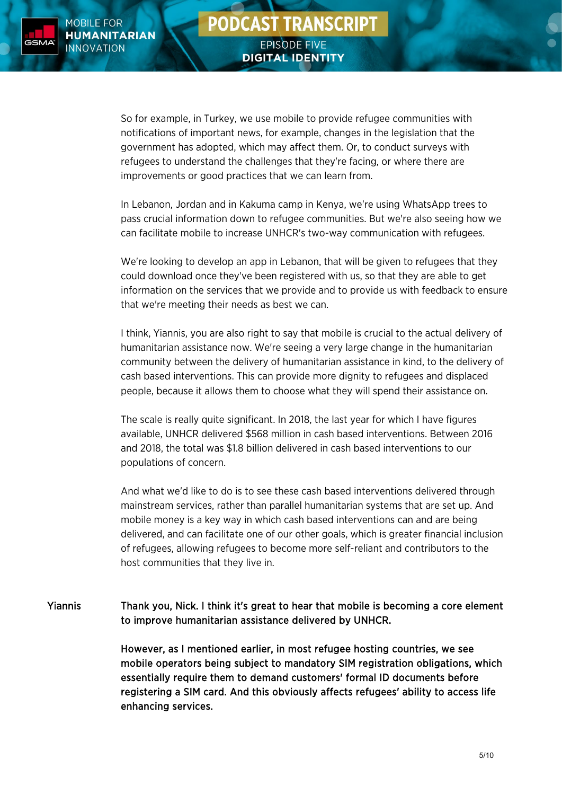

So for example, in Turkey, we use mobile to provide refugee communities with notifications of important news, for example, changes in the legislation that the government has adopted, which may affect them. Or, to conduct surveys with refugees to understand the challenges that they're facing, or where there are improvements or good practices that we can learn from.

In Lebanon, Jordan and in Kakuma camp in Kenya, we're using WhatsApp trees to pass crucial information down to refugee communities. But we're also seeing how we can facilitate mobile to increase UNHCR's two-way communication with refugees.

We're looking to develop an app in Lebanon, that will be given to refugees that they could download once they've been registered with us, so that they are able to get information on the services that we provide and to provide us with feedback to ensure that we're meeting their needs as best we can.

I think, Yiannis, you are also right to say that mobile is crucial to the actual delivery of humanitarian assistance now. We're seeing a very large change in the humanitarian community between the delivery of humanitarian assistance in kind, to the delivery of cash based interventions. This can provide more dignity to refugees and displaced people, because it allows them to choose what they will spend their assistance on.

The scale is really quite significant. In 2018, the last year for which I have figures available, UNHCR delivered \$568 million in cash based interventions. Between 2016 and 2018, the total was \$1.8 billion delivered in cash based interventions to our populations of concern.

And what we'd like to do is to see these cash based interventions delivered through mainstream services, rather than parallel humanitarian systems that are set up. And mobile money is a key way in which cash based interventions can and are being delivered, and can facilitate one of our other goals, which is greater financial inclusion of refugees, allowing refugees to become more self-reliant and contributors to the host communities that they live in.

Yiannis Thank you, Nick. I think it's great to hear that mobile is becoming a core element to improve humanitarian assistance delivered by UNHCR.

> However, as I mentioned earlier, in most refugee hosting countries, we see mobile operators being subject to mandatory SIM registration obligations, which essentially require them to demand customers' formal ID documents before registering a SIM card. And this obviously affects refugees' ability to access life enhancing services.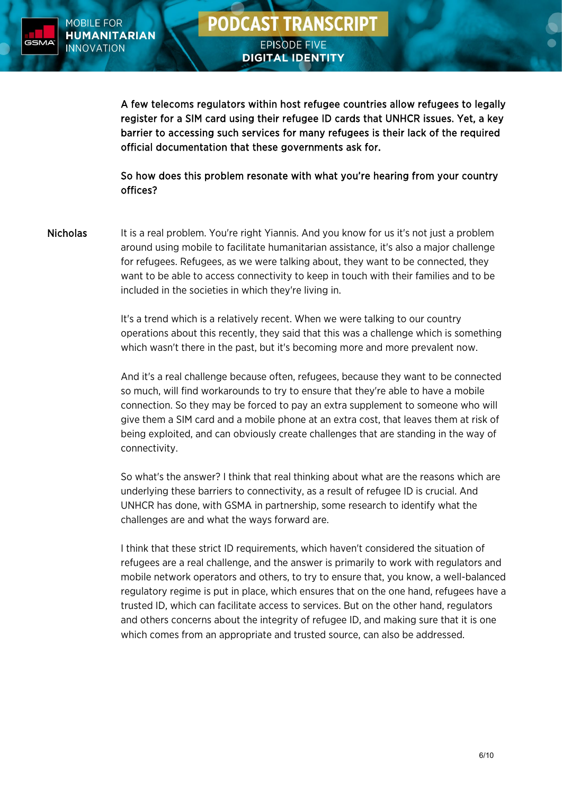

A few telecoms regulators within host refugee countries allow refugees to legally register for a SIM card using their refugee ID cards that UNHCR issues. Yet, a key barrier to accessing such services for many refugees is their lack of the required official documentation that these governments ask for.

 So how does this problem resonate with what you're hearing from your country offices?

Nicholas It is a real problem. You're right Yiannis. And you know for us it's not just a problem around using mobile to facilitate humanitarian assistance, it's also a major challenge for refugees. Refugees, as we were talking about, they want to be connected, they want to be able to access connectivity to keep in touch with their families and to be included in the societies in which they're living in.

> It's a trend which is a relatively recent. When we were talking to our country operations about this recently, they said that this was a challenge which is something which wasn't there in the past, but it's becoming more and more prevalent now.

> And it's a real challenge because often, refugees, because they want to be connected so much, will find workarounds to try to ensure that they're able to have a mobile connection. So they may be forced to pay an extra supplement to someone who will give them a SIM card and a mobile phone at an extra cost, that leaves them at risk of being exploited, and can obviously create challenges that are standing in the way of connectivity.

> So what's the answer? I think that real thinking about what are the reasons which are underlying these barriers to connectivity, as a result of refugee ID is crucial. And UNHCR has done, with GSMA in partnership, some research to identify what the challenges are and what the ways forward are.

I think that these strict ID requirements, which haven't considered the situation of refugees are a real challenge, and the answer is primarily to work with regulators and mobile network operators and others, to try to ensure that, you know, a well-balanced regulatory regime is put in place, which ensures that on the one hand, refugees have a trusted ID, which can facilitate access to services. But on the other hand, regulators and others concerns about the integrity of refugee ID, and making sure that it is one which comes from an appropriate and trusted source, can also be addressed.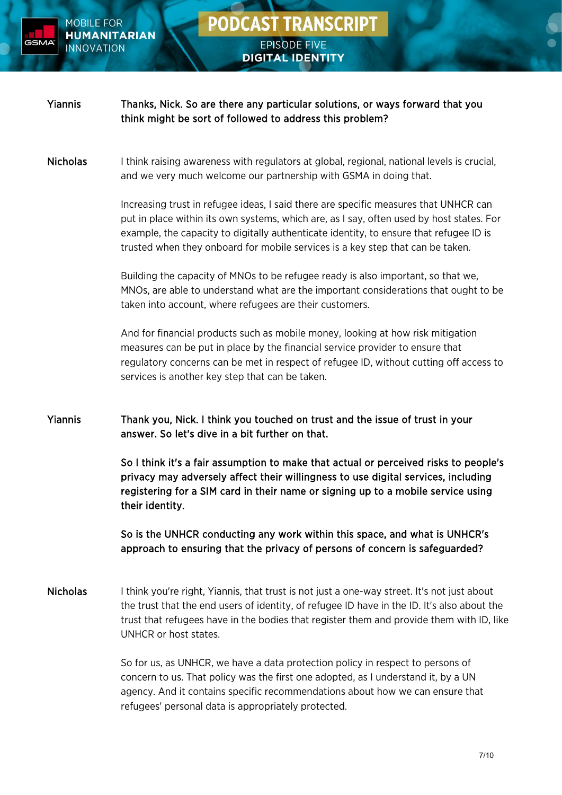

# **PODCAST TRANSCRIPT** EPISODE FIVE

**DIGITAL IDENTITY** 

| <b>Yiannis</b>  | Thanks, Nick. So are there any particular solutions, or ways forward that you<br>think might be sort of followed to address this problem?                                                                                                                                                                                                                    |
|-----------------|--------------------------------------------------------------------------------------------------------------------------------------------------------------------------------------------------------------------------------------------------------------------------------------------------------------------------------------------------------------|
| <b>Nicholas</b> | I think raising awareness with regulators at global, regional, national levels is crucial,<br>and we very much welcome our partnership with GSMA in doing that.                                                                                                                                                                                              |
|                 | Increasing trust in refugee ideas, I said there are specific measures that UNHCR can<br>put in place within its own systems, which are, as I say, often used by host states. For<br>example, the capacity to digitally authenticate identity, to ensure that refugee ID is<br>trusted when they onboard for mobile services is a key step that can be taken. |
|                 | Building the capacity of MNOs to be refugee ready is also important, so that we,<br>MNOs, are able to understand what are the important considerations that ought to be<br>taken into account, where refugees are their customers.                                                                                                                           |
|                 | And for financial products such as mobile money, looking at how risk mitigation<br>measures can be put in place by the financial service provider to ensure that<br>regulatory concerns can be met in respect of refugee ID, without cutting off access to<br>services is another key step that can be taken.                                                |
| <b>Yiannis</b>  | Thank you, Nick. I think you touched on trust and the issue of trust in your<br>answer. So let's dive in a bit further on that.                                                                                                                                                                                                                              |
|                 | So I think it's a fair assumption to make that actual or perceived risks to people's<br>privacy may adversely affect their willingness to use digital services, including<br>registering for a SIM card in their name or signing up to a mobile service using<br>their identity.                                                                             |
|                 | So is the UNHCR conducting any work within this space, and what is UNHCR's<br>approach to ensuring that the privacy of persons of concern is safeguarded?                                                                                                                                                                                                    |
| <b>Nicholas</b> | I think you're right, Yiannis, that trust is not just a one-way street. It's not just about<br>the trust that the end users of identity, of refugee ID have in the ID. It's also about the<br>trust that refugees have in the bodies that register them and provide them with ID, like<br>UNHCR or host states.                                              |
|                 | So for us, as UNHCR, we have a data protection policy in respect to persons of<br>concern to us. That policy was the first one adopted, as I understand it, by a UN<br>agency. And it contains specific recommendations about how we can ensure that                                                                                                         |

refugees' personal data is appropriately protected.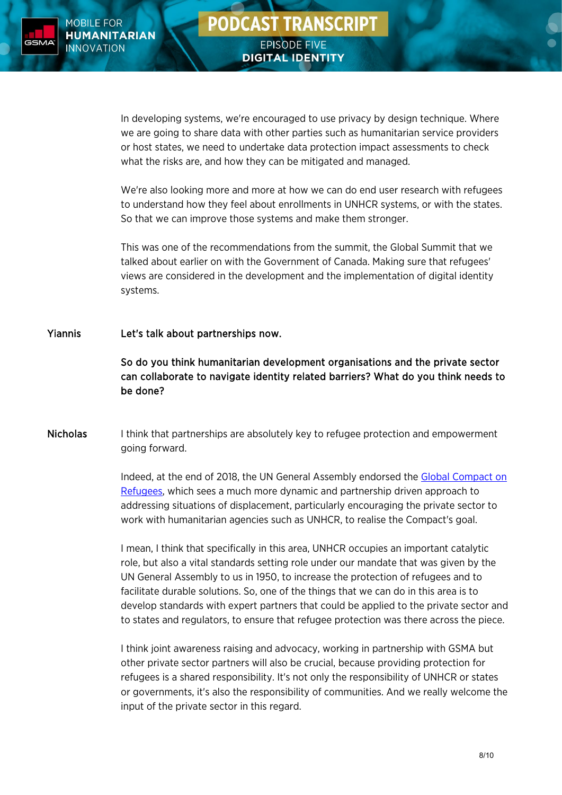

**DIGITAL IDENTITY** 

In developing systems, we're encouraged to use privacy by design technique. Where we are going to share data with other parties such as humanitarian service providers or host states, we need to undertake data protection impact assessments to check what the risks are, and how they can be mitigated and managed.

We're also looking more and more at how we can do end user research with refugees to understand how they feel about enrollments in UNHCR systems, or with the states. So that we can improve those systems and make them stronger.

This was one of the recommendations from the summit, the Global Summit that we talked about earlier on with the Government of Canada. Making sure that refugees' views are considered in the development and the implementation of digital identity systems.

### Yiannis Let's talk about partnerships now.

So do you think humanitarian development organisations and the private sector can collaborate to navigate identity related barriers? What do you think needs to be done?

Nicholas I think that partnerships are absolutely key to refugee protection and empowerment going forward.

> Indeed, at the end of 2018, the UN General Assembly endorsed the [Global Compact](https://www.unhcr.org/uk/the-global-compact-on-refugees.html) on [Refugees,](https://www.unhcr.org/uk/the-global-compact-on-refugees.html) which sees a much more dynamic and partnership driven approach to addressing situations of displacement, particularly encouraging the private sector to work with humanitarian agencies such as UNHCR, to realise the Compact's goal.

> I mean, I think that specifically in this area, UNHCR occupies an important catalytic role, but also a vital standards setting role under our mandate that was given by the UN General Assembly to us in 1950, to increase the protection of refugees and to facilitate durable solutions. So, one of the things that we can do in this area is to develop standards with expert partners that could be applied to the private sector and to states and regulators, to ensure that refugee protection was there across the piece.

> I think joint awareness raising and advocacy, working in partnership with GSMA but other private sector partners will also be crucial, because providing protection for refugees is a shared responsibility. It's not only the responsibility of UNHCR or states or governments, it's also the responsibility of communities. And we really welcome the input of the private sector in this regard.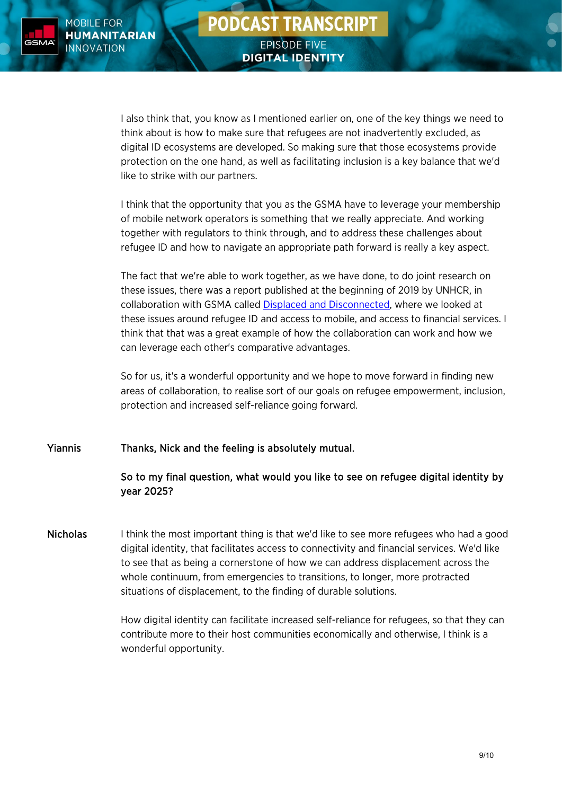

I also think that, you know as I mentioned earlier on, one of the key things we need to think about is how to make sure that refugees are not inadvertently excluded, as digital ID ecosystems are developed. So making sure that those ecosystems provide protection on the one hand, as well as facilitating inclusion is a key balance that we'd like to strike with our partners.

I think that the opportunity that you as the GSMA have to leverage your membership of mobile network operators is something that we really appreciate. And working together with regulators to think through, and to address these challenges about refugee ID and how to navigate an appropriate path forward is really a key aspect.

The fact that we're able to work together, as we have done, to do joint research on these issues, there was a report published at the beginning of 2019 by UNHCR, in collaboration with GSMA called [Displaced and Disconnected,](https://www.gsma.com/mobilefordevelopment/resources/displaced-and-disconnected/) where we looked at these issues around refugee ID and access to mobile, and access to financial services. I think that that was a great example of how the collaboration can work and how we can leverage each other's comparative advantages.

So for us, it's a wonderful opportunity and we hope to move forward in finding new areas of collaboration, to realise sort of our goals on refugee empowerment, inclusion, protection and increased self-reliance going forward.

Yiannis Thanks, Nick and the feeling is absolutely mutual.

### So to my final question, what would you like to see on refugee digital identity by year 2025?

Nicholas Ithink the most important thing is that we'd like to see more refugees who had a good digital identity, that facilitates access to connectivity and financial services. We'd like to see that as being a cornerstone of how we can address displacement across the whole continuum, from emergencies to transitions, to longer, more protracted situations of displacement, to the finding of durable solutions.

> How digital identity can facilitate increased self-reliance for refugees, so that they can contribute more to their host communities economically and otherwise, I think is a wonderful opportunity.